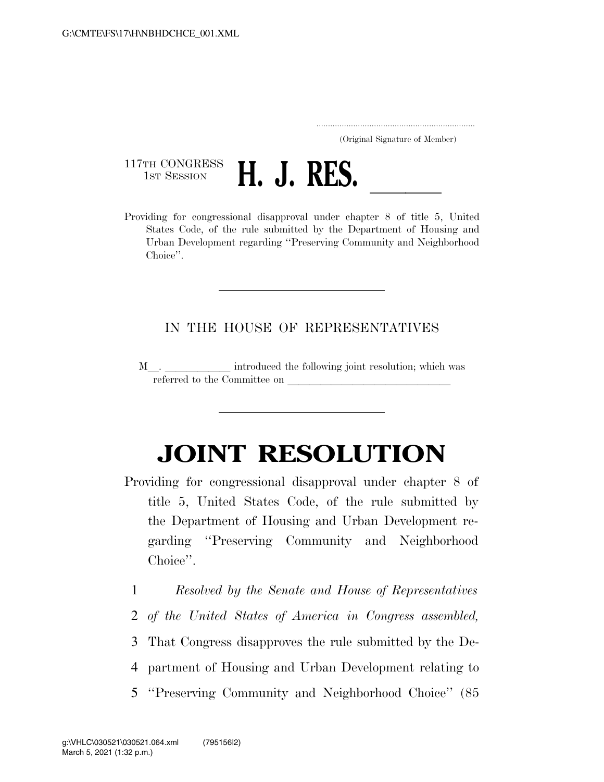..................................................................... (Original Signature of Member)

117TH CONGRESS<br>1st Session



1ST SESSION **H. J. RES.**<br>Providing for congressional disapproval under chapter 8 of title 5, United States Code, of the rule submitted by the Department of Housing and Urban Development regarding ''Preserving Community and Neighborhood Choice''.

## IN THE HOUSE OF REPRESENTATIVES

M. referred to the Committee on

## **JOINT RESOLUTION**

- Providing for congressional disapproval under chapter 8 of title 5, United States Code, of the rule submitted by the Department of Housing and Urban Development regarding ''Preserving Community and Neighborhood Choice''.
	- 1 *Resolved by the Senate and House of Representatives*
	- 2 *of the United States of America in Congress assembled,*
	- 3 That Congress disapproves the rule submitted by the De-
	- 4 partment of Housing and Urban Development relating to
	- 5 ''Preserving Community and Neighborhood Choice'' (85